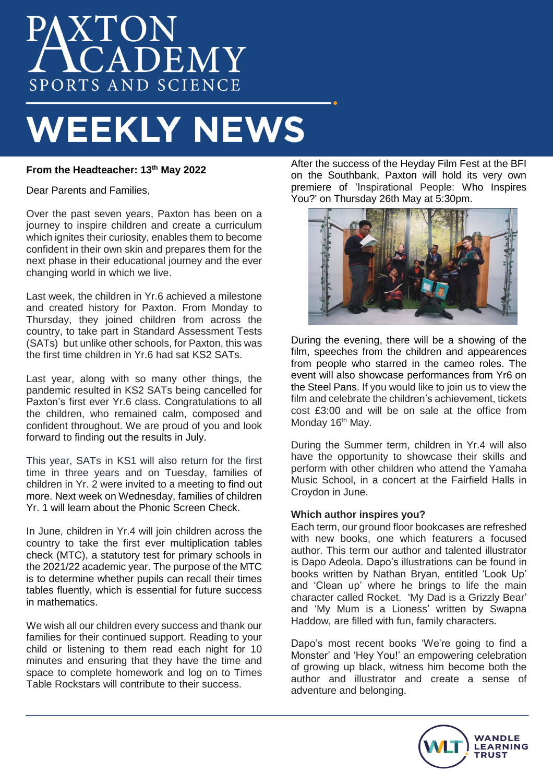# PAXTON SPORTS AND SCIENCE

## **WEEKLY NEWS**

## **From the Headteacher: 13th May 2022**

Dear Parents and Families,

Over the past seven years, Paxton has been on a journey to inspire children and create a curriculum which ignites their curiosity, enables them to become confident in their own skin and prepares them for the next phase in their educational journey and the ever changing world in which we live.

Last week, the children in Yr.6 achieved a milestone and created history for Paxton. From Monday to Thursday, they joined children from across the country, to take part in Standard Assessment Tests (SATs) but unlike other schools, for Paxton, this was the first time children in Yr.6 had sat KS2 SATs.

Last year, along with so many other things, the pandemic resulted in KS2 SATs being cancelled for Paxton's first ever Yr.6 class. Congratulations to all the children, who remained calm, composed and confident throughout. We are proud of you and look forward to finding out the results in July.

This year, SATs in KS1 will also return for the first time in three years and on Tuesday, families of children in Yr. 2 were invited to a meeting to find out more. Next week on Wednesday, families of children Yr. 1 will learn about the Phonic Screen Check.

In June, children in Yr.4 will join children across the country to take the first ever multiplication tables check (MTC), a statutory test for primary schools in the 2021/22 academic year. The purpose of the MTC is to determine whether pupils can recall their times tables fluently, which is essential for future success in mathematics.

We wish all our children every success and thank our families for their continued support. Reading to your child or listening to them read each night for 10 minutes and ensuring that they have the time and space to complete homework and log on to Times Table Rockstars will contribute to their success.

After the success of the Heyday Film Fest at the BFI on the Southbank, Paxton will hold its very own premiere of 'Inspirational People: Who Inspires You?' on Thursday 26th May at 5:30pm.



During the evening, there will be a showing of the film, speeches from the children and appearences from people who starred in the cameo roles. The event will also showcase performances from Yr6 on the Steel Pans. If you would like to join us to view the film and celebrate the children's achievement, tickets cost £3:00 and will be on sale at the office from Monday 16<sup>th</sup> May.

During the Summer term, children in Yr.4 will also have the opportunity to showcase their skills and perform with other children who attend the Yamaha Music School, in a concert at the Fairfield Halls in Croydon in June.

### **Which author inspires you?**

Each term, our ground floor bookcases are refreshed with new books, one which featurers a focused author. This term our author and talented illustrator is Dapo Adeola. Dapo's illustrations can be found in books written by Nathan Bryan, entitled 'Look Up' and 'Clean up' where he brings to life the main character called Rocket. 'My Dad is a Grizzly Bear' and 'My Mum is a Lioness' written by Swapna Haddow, are filled with fun, family characters.

Dapo's most recent books 'We're going to find a Monster' and 'Hey You!' an empowering celebration of growing up black, witness him become both the author and illustrator and create a sense of adventure and belonging.